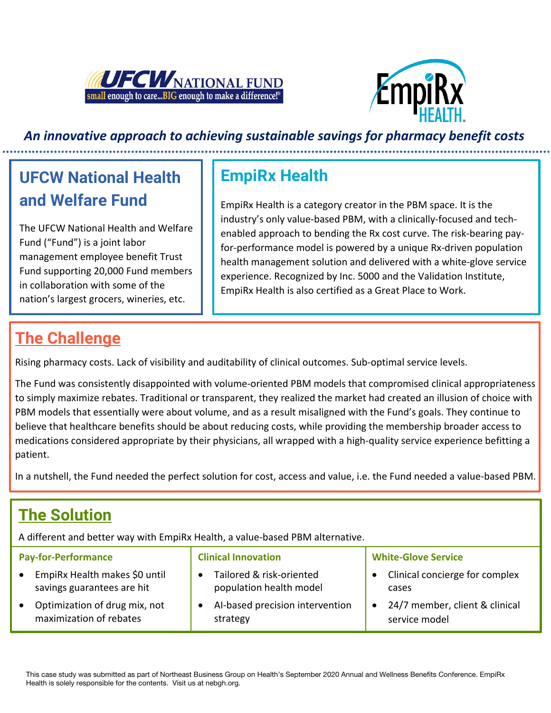



### *An innovative approach to achieving sustainable savings for pharmacy benefit costs*

# **UFCW National Health and Welfare Fund**

The UFCW National Health and Welfare Fund ("Fund") is a joint labor management employee benefit Trust Fund supporting 20,000 Fund members in collaboration with some of the nation's largest grocers, wineries, etc.

## **EmpiRx Health**

EmpiRx Health is a category creator in the PBM space. It is the industry's only value-based PBM, with a clinically-focused and techenabled approach to bending the Rx cost curve. The risk-bearing payfor-performance model is powered by a unique Rx-driven population health management solution and delivered with a white-glove service experience. Recognized by Inc. 5000 and the Validation Institute, EmpiRx Health is also certified as a Great Place to Work.

### **The Challenge**

Rising pharmacy costs. Lack of visibility and auditability of clinical outcomes. Sub-optimal service levels.

The Fund was consistently disappointed with volume-oriented PBM models that compromised clinical appropriateness to simply maximize rebates. Traditional or transparent, they realized the market had created an illusion of choice with PBM models that essentially were about volume, and as a result misaligned with the Fund's goals. They continue to believe that healthcare benefits should be about reducing costs, while providing the membership broader access to medications considered appropriate by their physicians, all wrapped with a high-quality service experience befitting a patient.

In a nutshell, the Fund needed the perfect solution for cost, access and value, i.e. the Fund needed a value-based PBM.

## **The Solution**

A different and better way with EmpiRx Health, a value-based PBM alternative.

| <b>Pay-for-Performance</b>    | <b>Clinical Innovation</b>      | <b>White-Glove Service</b>     |
|-------------------------------|---------------------------------|--------------------------------|
| EmpiRx Health makes \$0 until | Tailored & risk-oriented        | Clinical concierge for complex |
| savings guarantees are hit    | population health model         | cases                          |
| Optimization of drug mix, not | Al-based precision intervention | 24/7 member, client & clinical |
| maximization of rebates       | strategy                        | service model                  |